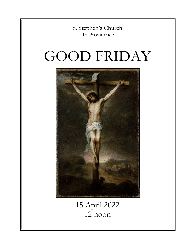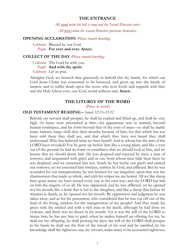#### **THE ENTRANCE**

*All stand when the bell is rung and the Sacred Ministers enter. All kneel when the Sacred Ministers prostrate themselves.*

## **OPENING ACCLAMATION** *(Please remain kneeling)*

*Celebrant* Blessed be our God. *People* **For ever and ever. Amen.**

#### **COLLECT OF THE DAY** *(Please remain kneeling)*

*Celebrant* The Lord be with you. *People* **And with thy spirit.** *Celebrant* Let us pray.

Almighty God, we beseech thee graciously to behold this thy family, for which our Lord Jesus Christ was contented to be betrayed, and given up into the hands of sinners, and to suffer death upon the cross; who now liveth and reigneth with thee and the Holy Ghost ever, one God, world without end. **Amen.**

#### **THE LITURGY OF THE WORD**

*(Please be seated)*

### **OLD TESTAMENT READING –** *Isaiah 52:13–53:12*

Behold, my servant shall prosper, he shall be exalted and lifted up, and shall be very high. As many were astonished at him—his appearance was so marred, beyond human semblance, and his form beyond that of the sons of men—so shall he startle many nations; kings shall shut their mouths because of him; for that which has not been told them they shall see, and that which they have not heard they shall understand. Who has believed what we have heard? And to whom has the arm of the LORD been revealed? For he grew up before him like a young plant, and like a root out of dry ground; he had no form or comeliness that we should look at him, and no beauty that we should desire him. He was despised and rejected by men; a man of sorrows, and acquainted with grief; and as one from whom men hide their faces he was despised, and we esteemed him not. Surely he has borne our griefs and carried our sorrows; yet we esteemed him stricken, smitten by God, and afflicted. But he was wounded for our transgressions, he was bruised for our iniquities; upon him was the chastisement that made us whole, and with his stripes we are healed. All we like sheep have gone astray; we have turned every one to his own way; and the LORD has laid on him the iniquity of us all. He was oppressed, and he was afflicted, yet he opened not his mouth; like a lamb that is led to the slaughter, and like a sheep that before its shearers is dumb, so he opened not his mouth. By oppression and judgment he was taken away; and as for his generation, who considered that he was cut off out of the land of the living, stricken for the transgression of my people? And they made his grave with the wicked and with a rich man in his death, although he had done no violence, and there was no deceit in his mouth. Yet it was the will of the LORD to bruise him; he has put him to grief; when he makes himself an offering for sin, he shall see his offspring, he shall prolong his days; the will of the LORD shall prosper in his hand; he shall see the fruit of the travail of his soul and be satisfied; by his knowledge shall the righteous one, my servant, make many to be accounted righteous;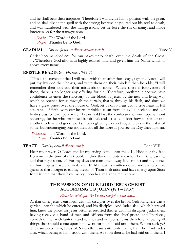2

and he shall bear their iniquities. Therefore I will divide him a portion with the great, and he shall divide the spoil with the strong; because he poured out his soul to death, and was numbered with the transgressors; yet he bore the sin of many, and made intercession for the transgressors.

*Reader* The Word of the Lord. *People* **Thanks be to God.**

# **GRADUAL** – *Christus factus est (Please remain seated)* Tone V

Christ became obedient for our sakes unto death: even the death of the Cross. *V.* Wherefore God also hath highly exalted him: and given him the Name which is above every name.

## **EPISTLE READING** – *Hebrews 10:16-25*

"This is the covenant that I will make with them after those days, says the Lord: I will put my laws on their hearts, and write them on their minds," then he adds, "I will remember their sins and their misdeeds no more." Where there is forgiveness of these, there is no longer any offering for sin. Therefore, brethren, since we have confidence to enter the sanctuary by the blood of Jesus, by the new and living way which he opened for us through the curtain, that is, through his flesh, and since we have a great priest over the house of God, let us draw near with a true heart in full assurance of faith, with our hearts sprinkled clean from an evil conscience and our bodies washed with pure water. Let us hold fast the confession of our hope without wavering, for he who promised is faithful; and let us consider how to stir up one another to love and good works, not neglecting to meet together, as is the habit of some, but encouraging one another, and all the more as you see the Day drawing near.

*Subdeacon* The Word of the Lord. *People* **Thanks be to God.**

## **TRACT** – *Domine, exaudi (Please stand)* Tone VIII

Hear my prayer, O Lord: and let my crying come unto thee. *V.* Hide not thy face from me in the time of my trouble: incline thine ear unto me when I call; O Hear me, and that right soon. *V.* For my days are consumed away like smoke: and my bones are burnt up as it were a fire-brand. *V.* My heart is smitten down, and withered like grass: so that I forget to eat my bread. *V.* Thou shalt arise, and have mercy upon Sion: for it is time that thou have mercy upon her, yea, the time is come.

# **THE PASSION OF OUR LORD JESUS CHRIST ACCORDING TO JOHN (18:1 – 19:37)**

## *Please be seated after the Passion Gospel is announced.*

At that time, Jesus went forth with his disciples over the brook Cedron, where was a garden, into the which he entered, and his disciples. And Judas also, which betrayed him, knew the place: for Jesus ofttimes resorted thither with his disciples. Judas then, having received a band of men and officers from the chief priests and Pharisees, cometh thither with lanterns and torches and weapons. Jesus therefore, knowing all things that should come upon him, went forth, and said unto them, Whom seek ye? They answered him, Jesus of Nazareth. Jesus saith unto them, I am he. And Judas also, which betrayed him, stood with them. As soon then as he had said unto them, I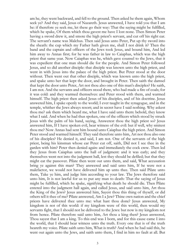am he, they went backward, and fell to the ground. Then asked he them again, Whom seek ye? And they said, Jesus of Nazareth. Jesus answered, I have told you that I am he: if therefore ye seek me, let these go their way: That the saying might be fulfilled, which he spake, Of them which thou gavest me have I lost none. Then Simon Peter having a sword drew it, and smote the high priest's servant, and cut off his right ear. The servant's name was Malchus. Then said Jesus unto Peter, Put up thy sword into the sheath: the cup which my Father hath given me, shall I not drink it? Then the band and the captain and officers of the Jews took Jesus, and bound him, And led him away to Annas first; for he was father in law to Caiaphas, which was the high priest that same year. Now Caiaphas was he, which gave counsel to the Jews, that it was expedient that one man should die for the people. And Simon Peter followed Jesus, and so did another disciple: that disciple was known unto the high priest, and went in with Jesus into the palace of the high priest. But Peter stood at the door without. Then went out that other disciple, which was known unto the high priest, and spake unto her that kept the door, and brought in Peter. Then saith the damsel that kept the door unto Peter, Art not thou also one of this man's disciples? He saith, I am not. And the servants and officers stood there, who had made a fire of coals; for it was cold: and they warmed themselves: and Peter stood with them, and warmed himself. The high priest then asked Jesus of his disciples, and of his doctrine. Jesus answered him, I spake openly to the world; I ever taught in the synagogue, and in the temple, whither the Jews always resort; and in secret have I said nothing. Why askest thou me? ask them which heard me, what I have said unto them: behold, they know what I said. And when he had thus spoken, one of the officers which stood by struck Jesus with the palm of his hand, saying, Answerest thou the high priest so? Jesus answered him, If I have spoken evil, bear witness of the evil: but if well, why smitest thou me? Now Annas had sent him bound unto Caiaphas the high priest. And Simon Peter stood and warmed himself. They said therefore unto him, Art not thou also one of his disciples? He denied it, and said, I am not. One of the servants of the high priest, being his kinsman whose ear Peter cut off, saith, Did not I see thee in the garden with him? Peter then denied again: and immediately the cock crew. Then led they Jesus from Caiaphas unto the hall of judgment: and it was early; and they themselves went not into the judgment hall, lest they should be defiled; but that they might eat the passover. Pilate then went out unto them, and said, What accusation bring ye against this man? They answered and said unto him, If he were not a malefactor, we would not have delivered him up unto thee. Then said Pilate unto them, Take ye him, and judge him according to your law. The Jews therefore said unto him, It is not lawful for us to put any man to death: That the saying of Jesus might be fulfilled, which he spake, signifying what death he should die. Then Pilate entered into the judgment hall again, and called Jesus, and said unto him, Art thou the King of the Jews? Jesus answered him, Sayest thou this thing of thyself, or did others tell it thee of me? Pilate answered, Am I a Jew? Thine own nation and the chief priests have delivered thee unto me: what hast thou done? Jesus answered, My kingdom is not of this world: if my kingdom were of this world, then would my servants fight, that I should not be delivered to the Jews: but now is my kingdom not from hence. Pilate therefore said unto him, Art thou a king then? Jesus answered, Thou sayest that I am a king. To this end was I born, and for this cause came I into the world, that I should bear witness unto the truth. Every one that is of the truth heareth my voice. Pilate saith unto him, What is truth? And when he had said this, he went out again unto the Jews, and saith unto them, I find in him no fault at all. But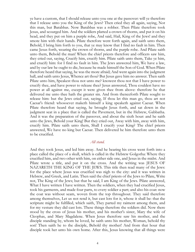ye have a custom, that I should release unto you one at the passover: will ye therefore that I release unto you the King of the Jews? Then cried they all again, saying, Not this man, but Barabbas. Now Barabbas was a robber. Then Pilate therefore took Jesus, and scourged him. And the soldiers platted a crown of thorns, and put it on his head, and they put on him a purple robe, And said, Hail, King of the Jews! and they smote him with their hands. Pilate therefore went forth again, and saith unto them, Behold, I bring him forth to you, that ye may know that I find no fault in him. Then came Jesus forth, wearing the crown of thorns, and the purple robe. And Pilate saith unto them, Behold the man! When the chief priests therefore and officers saw him, they cried out, saying, Crucify him, crucify him. Pilate saith unto them, Take ye him, and crucify him: for I find no fault in him. The Jews answered him, We have a law, and by our law he ought to die, because he made himself the Son of God. When Pilate therefore heard that saying, he was the more afraid; And went again into the judgment hall, and saith unto Jesus, Whence art thou? But Jesus gave him no answer. Then saith Pilate unto him, Speakest thou not unto me? knowest thou not that I have power to crucify thee, and have power to release thee? Jesus answered, Thou couldest have no power at all against me, except it were given thee from above: therefore he that delivered me unto thee hath the greater sin. And from thenceforth Pilate sought to release him: but the Jews cried out, saying, If thou let this man go, thou art not Caesar's friend: whosoever maketh himself a king speaketh against Caesar. When Pilate therefore heard that saying, he brought Jesus forth, and sat down in the judgment seat in a place that is called the Pavement, but in the Hebrew, Gabbatha. And it was the preparation of the passover, and about the sixth hour: and he saith unto the Jews, Behold your King! But they cried out, Away with him, away with him, crucify him. Pilate saith unto them, Shall I crucify your King? The chief priests answered, We have no king but Caesar. Then delivered he him therefore unto them to be crucified.

#### *All stand.*

And they took Jesus, and led him away. And he bearing his cross went forth into a place called the place of a skull, which is called in the Hebrew Golgotha: Where they crucified him, and two other with him, on either side one, and Jesus in the midst. And Pilate wrote a title, and put it on the cross. And the writing was JESUS OF NAZARETH THE KING OF THE JEWS. This title then read many of the Jews: for the place where Jesus was crucified was nigh to the city: and it was written in Hebrew, and Greek, and Latin. Then said the chief priests of the Jews to Pilate, Write not, The King of the Jews; but that he said, I am King of the Jews. Pilate answered, What I have written I have written. Then the soldiers, when they had crucified Jesus, took his garments, and made four parts, to every soldier a part; and also his coat: now the coat was without seam, woven from the top throughout. They said therefore among themselves, Let us not rend it, but cast lots for it, whose it shall be: that the scripture might be fulfilled, which saith, They parted my raiment among them, and for my vesture they did cast lots. These things therefore the soldiers did. Now there stood by the cross of Jesus his mother, and his mother's sister, Mary the wife of Cleophas, and Mary Magdalene. When Jesus therefore saw his mother, and the disciple standing by, whom he loved, he saith unto his mother, Woman, behold thy son! Then saith he to the disciple, Behold thy mother! And from that hour that disciple took her unto his own home. After this, Jesus knowing that all things were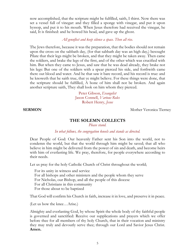now accomplished, that the scripture might be fulfilled, saith, I thirst. Now there was set a vessel full of vinegar: and they filled a sponge with vinegar, and put it upon hyssop, and put it to his mouth. When Jesus therefore had received the vinegar, he said, It is finished: and he bowed his head, and gave up the ghost.

## *All genuflect and keep silence a space. Then all rise.*

The Jews therefore, because it was the preparation, that the bodies should not remain upon the cross on the sabbath day, (for that sabbath day was an high day,) besought Pilate that their legs might be broken, and that they might be taken away. Then came the soldiers, and brake the legs of the first, and of the other which was crucified with him. But when they came to Jesus, and saw that he was dead already, they brake not his legs: But one of the soldiers with a spear pierced his side, and forthwith came there out blood and water. And he that saw it bare record, and his record is true: and he knoweth that he saith true, that ye might believe. For these things were done, that the scripture should be fulfilled, A bone of him shall not be broken. And again another scripture saith, They shall look on him whom they pierced.

> Peter Gibson, *Evangelist* Jason Connell, *Various Roles* Robert Henry, *Jesus*

**SERMON** Mother Veronica Tierney

# **THE SOLEMN COLLECTS**

*Please stand.*

## *In what follows, the congregation kneels and stands as directed.*

Dear People of God: Our heavenly Father sent his Son into the world, not to condemn the world, but that the world through him might be saved; that all who believe in him might be delivered from the power of sin and death, and become heirs with him of everlasting life. We pray, therefore, for people everywhere according to their needs.

Let us pray for the holy Catholic Church of Christ throughout the world;

 For its unity in witness and service For all bishops and other ministers and the people whom they serve For Nicholas, our Bishop, and all the people of this diocese For all Christians in this community For those about to be baptized

That God will confirm his Church in faith, increase it in love, and preserve it in peace.

(Let us bow the knee…Arise.)

Almighty and everlasting God, by whose Spirit the whole body of thy faithful people is governed and sanctified: Receive our supplications and prayers which we offer before thee for all members of thy holy Church, that in their vocation and ministry they may truly and devoutly serve thee; through our Lord and Savior Jesus Christ. **Amen.**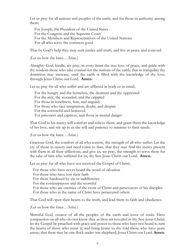Let us pray for all nations and peoples of the earth, and for those in authority among them;

 For Joseph, the President of the United States For the Congress and the Supreme Court For the Members and Representatives of the United Nations For all who serve the common good

That by God's help they may seek justice and truth, and live in peace and concord.

(Let us bow the knee…Arise.)

Almighty God, kindle, we pray, in every heart the true love of peace, and guide with thy wisdom those who take counsel for the nations of the earth; that in tranquility thy dominion may increase, until the earth is filled with the knowledge of thy love; through Jesus Christ our Lord. **Amen.** 

Let us pray for all who suffer and are afflicted in body or in mind;

 For the hungry and the homeless, the destitute and the oppressed For the sick, the wounded, and the crippled For those in loneliness, fear, and anguish For those who face temptation, doubt, and despair For the sorrowful and bereaved For prisoners and captives, and those in mortal danger

That God in his mercy will comfort and relieve them, and grant them the knowledge of his love, and stir up in us the will and patience to minister to their needs.

(Let us bow the knee…Arise.)

Gracious God, the comfort of all who sorrow, the strength of all who suffer: Let the cry of those in misery and need come to thee, that they may find thy mercy present with them in all their afflictions; and give us, we pray, the strength to serve them for the sake of him who suffered for us, thy Son Jesus Christ our Lord. **Amen.**

Let us pray for all who have not received the Gospel of Christ;

 For those who have never heard the word of salvation For those who have lost their faith For those hardened by sin or indifference For the contemptuous and the scornful For those who are enemies of the cross of Christ and persecutors of his disciples For those who in the name of Christ have persecuted others

That God will open their hearts to the truth, and lead them to faith and obedience.

(Let us bow the knee…Arise.)

Merciful God, creator of all the peoples of the earth and lover of souls: Have compassion on all who do not know thee as thou art revealed in thy Son Jesus Christ; let thy Gospel be preached with grace and power to those who have not heard it; turn the hearts of those who resist it; and bring home to thy fold those who have gone astray; that there may be one flock under one shepherd, Jesus Christ our Lord. **Amen.**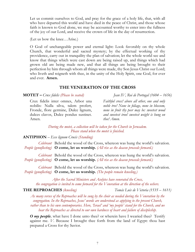Let us commit ourselves to God, and pray for the grace of a holy life, that, with all who have departed this world and have died in the peace of Christ, and those whose faith is known to God alone, we may be accounted worthy to enter into the fullness of the joy of our Lord, and receive the crown of life in the day of resurrection.

(Let us bow the knee…Arise.)

O God of unchangeable power and eternal light: Look favorably on thy whole Church, that wonderful and sacred mystery; by the effectual working of thy providence, carry out in tranquility the plan of salvation; let the whole world see and know that things which were cast down are being raised up, and things which had grown old are being made new, and that all things are being brought to their perfection by him through whom all things were made, thy Son Jesus Christ our Lord; who liveth and reigneth with thee, in the unity of the Holy Spirit, one God, for ever and ever. **Amen.**

# **THE VENERATION OF THE CROSS**

**MOTET –** *Crux fidelis (Please be seated) Jean IV, Roi de Portugal (1604 – 1656)*

Crux fidelis inter omnes, Arbor una nobilis: Nulla silva, talem profert, Fronde, flore germine, Dulce lignum, dulces clavos, Dulce pondus sustinet. Amen.

*Faithful cross! above all other, one and only noble tree! None in foliage, none in blossom, none in fruit thy peer may be: sweetest wood and sweetest iron! sweetest weight is hung on thee! Amen.*

*During the motet, a collection will be taken for the Church in Jerusalem. Please stand when the motet is finished.*

## **ANTIPHON** – *Ecce lignum Crucis (Standing)*

*Celebrant* Behold the wood of the Cross, whereon was hung the world's salvation. *People (genuflecting)* **O come, let us worship.** *(All rise as the deacon proceeds forward.)*

*Celebrant* Behold the wood of the Cross, whereon was hung the world's salvation. *People (genuflecting)* **O come, let us worship.** *(All rise as the deacon proceeds forward.)*

*Celebrant* Behold the wood of the Cross, whereon was hung the world's salvation. *People (genuflecting)* **O come, let us worship.** *(The people remain kneeling.)*

*After the Sacred Ministers and Acolytes have venerated the Cross, the congregation is invited to come forward for the Veneration at the direction of the ushers.*

**THE REPROACHES** *(kneeling)**Tomás Luis de Victoria (1535 – 1611)*

*As many verses of the Reproaches will be sung by the choir as needed during the Veneration by the congregation. In the Reproaches, Jesus' words are understood as applying to the present Church, rather than to his own contemporaries. Here, 'Israel' and 'my people' stand for the Church, and we hear the Reproaches as directed to our own hardness of heart and failure of discipleship.*

*O my people*, what have I done unto thee? or wherein have I wearied thee? Testify against me. *V.* Because I brought thee forth from the land of Egypt: thou hast prepared a Cross for thy Savior.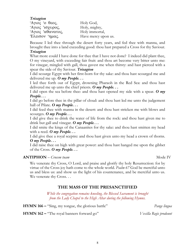*Trisagion*

'A $\gamma$ ioc 'o  $\theta$ εος, Holy God, ' $A\gamma\iota$  $\sigma\gamma\upsilon\rho\omicron\varsigma$ , Holy, mighty, 'Aγιος ' $\alpha\theta\alpha\nu\alpha\tau$ ος, Holy immortal, 'E $\lambda$  $\epsilon$ i $\sigma$ ov ' $\eta \mu \alpha \zeta$ . Have mercy upon us.

Because I led thee through the desert forty years, and fed thee with manna, and brought thee into a land exceeding good: thou hast prepared a Cross for thy Saviour. *Trisagion*

What more could I have done for thee that I have not done? I indeed did plant thee, O my vineyard, with exceeding fair fruit: and thou art become very bitter unto me: for vinegar, mingled with gall, thou gavest me when thirsty: and hast pierced with a spear the side of thy Saviour. *Trisagion*

I did scourge Egypt with her first-born for thy sake: and thou hast scourged me and delivered me up. *O my People. . .*

I led thee forth out of Egypt, drowning Pharaoh in the Red Sea: and thou hast delivered me up unto the chief priests. *O my People. . .*

I did open the sea before thee: and thou hast opened my side with a spear. *O my People. . .*

I did go before thee in the pillar of cloud: and thou hast led me unto the judgement hall of Pilate. *O my People. . .*

I did feed thee with manna in the desert: and thou hast stricken me with blows and scourges. *O my People. . .*

I did give thee to drink the water of life from the rock: and thou hast given me to drink but gall and vinegar. *O my People. . .*

I did smite the kings of the Canaanites for thy sake: and thou hast smitten my head with a reed. *O my People. . .*

I did give thee a royal sceptre: and thou hast given unto my head a crown of thorns. *O my People. . .*

I did raise thee on high with great power: and thou hast hanged me upon the gibbet of the Cross. *O my People. . .*

## **ANTIPHON** – *Crucem tuam* Mode IV

We venerate thy Cross, O Lord, and praise and glorify thy holy Resurrection: for by virtue of the Cross joy hath come to the whole world. *Psalm 67* God be merciful unto us and bless us: and show us the light of his countenance, and be merciful unto us. We venerate thy Cross...

# **THE MASS OF THE PRESANCTIFIED**

*While the congregation remains kneeling, the Blessed Sacrament is brought from the Lady Chapel to the High Altar during the following Hymns.*

**HYMN 166 –** "Sing, my tongue, the glorious battle" *Pange lingua*

**HYMN 162 –** "The royal banners forward go" *Vexilla Regis prodeunt*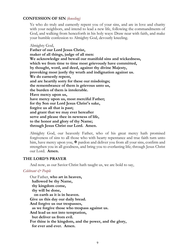## **CONFESSION OF SIN** *(kneeling)*

Ye who do truly and earnestly repent you of your sins, and are in love and charity with your neighbors, and intend to lead a new life, following the commandments of God, and walking from henceforth in his holy ways: Draw near with faith, and make your humble confession to Almighty God, devoutly kneeling.

Almighty God, **Father of our Lord Jesus Christ, maker of all things, judge of all men: We acknowledge and bewail our manifold sins and wickedness, which we from time to time most grievously have committed, by thought, word, and deed, against thy divine Majesty, provoking most justly thy wrath and indignation against us. We do earnestly repent, and are heartily sorry for these our misdoings; the remembrance of them is grievous unto us, the burden of them is intolerable. Have mercy upon us, have mercy upon us, most merciful Father; for thy Son our Lord Jesus Christ's sake, forgive us all that is past; and grant that we may ever hereafter serve and please thee in newness of life, to the honor and glory of thy Name; through Jesus Christ our Lord. Amen.**

Almighty God, our heavenly Father, who of his great mercy hath promised forgiveness of sins to all those who with hearty repentance and true faith turn unto him, have mercy upon you,  $\mathbb{F}$  pardon and deliver you from all your sins, confirm and strengthen you in all goodness, and bring you to everlasting life; through Jesus Christ our Lord. **Amen.**

#### **THE LORD'S PRAYER**

And now, as our Savior Christ hath taught us, we are bold to say,

#### *Celebrant & People*

Our Father, **who art in heaven, hallowed be thy Name, thy kingdom come, thy will be done, on earth as it is in heaven. Give us this day our daily bread. And forgive us our trespasses, as we forgive those who trespass against us. And lead us not into temptation, but deliver us from evil. For thine is the kingdom, and the power, and the glory, for ever and ever. Amen.**